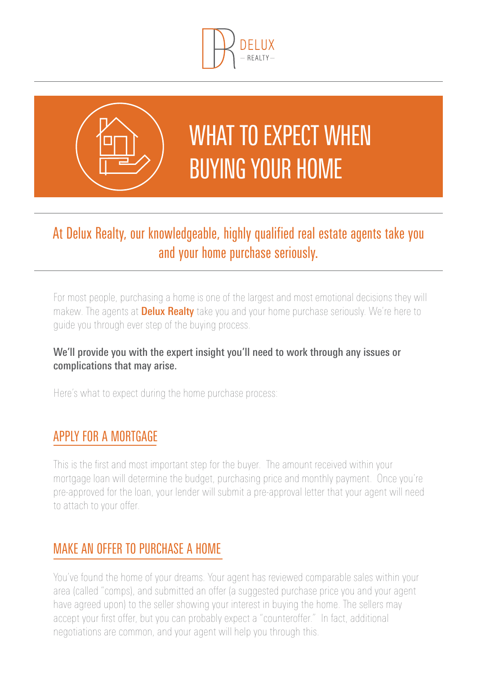



# WHAT TO EXPECT WHEN buying your home

# At Delux Realty, our knowledgeable, highly qualified real estate agents take you and your home purchase seriously.

For most people, purchasing a home is one of the largest and most emotional decisions they will makew. The agents at **Delux Realty** take you and your home purchase seriously. We're here to guide you through ever step of the buying process.

#### We'll provide you with the expert insight you'll need to work through any issues or complications that may arise.

Here's what to expect during the home purchase process:

## Apply for a mortgage

This is the first and most important step for the buyer. The amount received within your mortgage loan will determine the budget, purchasing price and monthly payment. Once you're pre-approved for the loan, your lender will submit a pre-approval letter that your agent will need to attach to your offer.

## Make an offer to purchase a home

You've found the home of your dreams. Your agent has reviewed comparable sales within your area (called "comps), and submitted an offer (a suggested purchase price you and your agent have agreed upon) to the seller showing your interest in buying the home. The sellers may accept your first offer, but you can probably expect a "counteroffer." In fact, additional negotiations are common, and your agent will help you through this.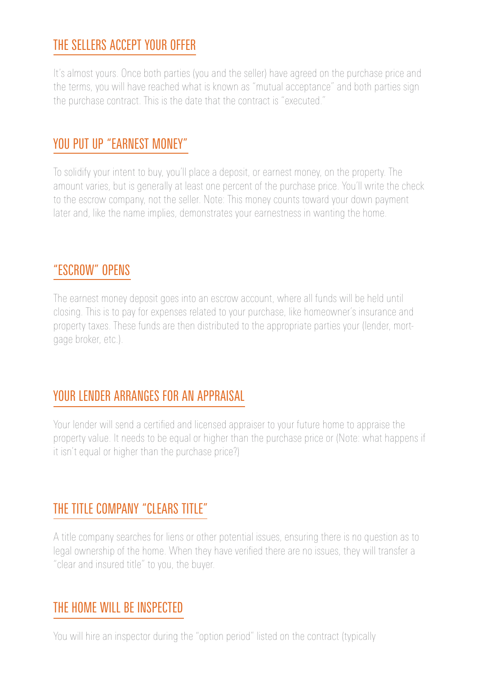## The sellers accept your offer

It's almost yours. Once both parties (you and the seller) have agreed on the purchase price and the terms, you will have reached what is known as "mutual acceptance" and both parties sign the purchase contract. This is the date that the contract is "executed."

## YOU PUT UP "EARNEST MONEY"

To solidify your intent to buy, you'll place a deposit, or earnest money, on the property. The amount varies, but is generally at least one percent of the purchase price. You'll write the check to the escrow company, not the seller. Note: This money counts toward your down payment later and, like the name implies, demonstrates your earnestness in wanting the home.

#### "Escrow" opens

The earnest money deposit goes into an escrow account, where all funds will be held until closing. This is to pay for expenses related to your purchase, like homeowner's insurance and property taxes. These funds are then distributed to the appropriate parties your (lender, mortgage broker, etc.).

#### Your lender arranges for an appraisal

Your lender will send a certified and licensed appraiser to your future home to appraise the property value. It needs to be equal or higher than the purchase price or (Note: what happens if it isn't equal or higher than the purchase price?)

### THE TITLE COMPANY "CLEARS TITLE"

A title company searches for liens or other potential issues, ensuring there is no question as to legal ownership of the home. When they have verified there are no issues, they will transfer a "clear and insured title" to you, the buyer.

#### The home will be inspected

You will hire an inspector during the "option period" listed on the contract (typically